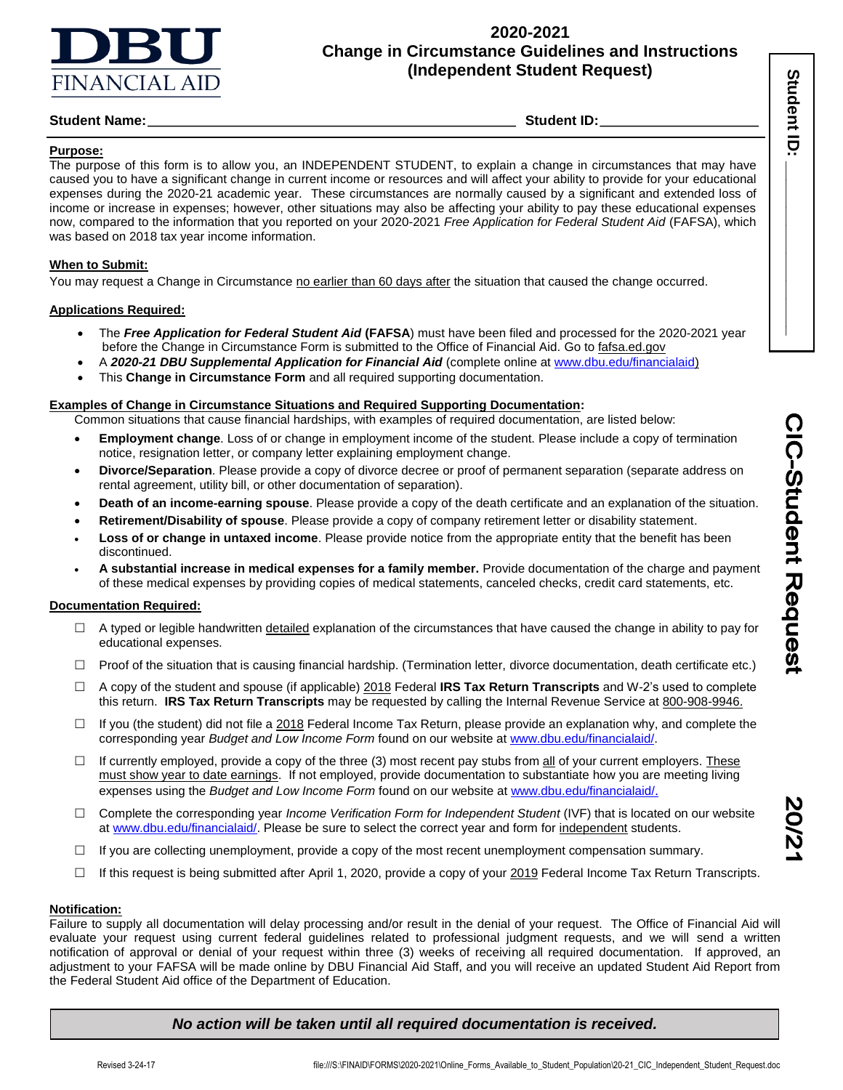

## **2020-2021 Change in Circumstance Guidelines and Instructions (Independent Student Request)**

## **Student Name:** Student ID:

### **Purpose:**

The purpose of this form is to allow you, an INDEPENDENT STUDENT, to explain a change in circumstances that may have caused you to have a significant change in current income or resources and will affect your ability to provide for your educational expenses during the 2020-21 academic year. These circumstances are normally caused by a significant and extended loss of income or increase in expenses; however, other situations may also be affecting your ability to pay these educational expenses now, compared to the information that you reported on your 2020-2021 *Free Application for Federal Student Aid* (FAFSA), which was based on 2018 tax year income information.

### **When to Submit:**

You may request a Change in Circumstance no earlier than 60 days after the situation that caused the change occurred.

### **Applications Required:**

- The *Free Application for Federal Student Aid* **(FAFSA**) must have been filed and processed for the 2020-2021 year before the Change in Circumstance Form is submitted to the Office of Financial Aid. Go to fafsa.ed.gov
- A *2020-21 DBU Supplemental Application for Financial Aid* (complete online a[t www.dbu.edu/financialaid\)](http://www.dbu.edu/financialaid)
- This **Change in Circumstance Form** and all required supporting documentation.

### **Examples of Change in Circumstance Situations and Required Supporting Documentation:**

- Common situations that cause financial hardships, with examples of required documentation, are listed below:
- **Employment change**. Loss of or change in employment income of the student. Please include a copy of termination notice, resignation letter, or company letter explaining employment change.
- **Divorce/Separation**. Please provide a copy of divorce decree or proof of permanent separation (separate address on rental agreement, utility bill, or other documentation of separation).
- **Death of an income-earning spouse**. Please provide a copy of the death certificate and an explanation of the situation.
- **Retirement/Disability of spouse**. Please provide a copy of company retirement letter or disability statement.
- **Loss of or change in untaxed income**. Please provide notice from the appropriate entity that the benefit has been discontinued.
- **A substantial increase in medical expenses for a family member.** Provide documentation of the charge and payment of these medical expenses by providing copies of medical statements, canceled checks, credit card statements, etc.

### **Documentation Required:**

- $\Box$  A typed or legible handwritten detailed explanation of the circumstances that have caused the change in ability to pay for educational expenses.
- $\Box$  Proof of the situation that is causing financial hardship. (Termination letter, divorce documentation, death certificate etc.)
- A copy of the student and spouse (if applicable) 2018 Federal **IRS Tax Return Transcripts** and W-2's used to complete this return. **IRS Tax Return Transcripts** may be requested by calling the Internal Revenue Service at 800-908-9946.
- $\Box$  If you (the student) did not file a 2018 Federal Income Tax Return, please provide an explanation why, and complete the corresponding year *Budget and Low Income Form* found on our website a[t www.dbu.edu/financialaid/.](http://www.dbu.edu/financialaid/)
- $\Box$  If currently employed, provide a copy of the three (3) most recent pay stubs from  $\underline{all}$  of your current employers. These must show year to date earnings. If not employed, provide documentation to substantiate how you are meeting living expenses using the *Budget and Low Income Form* found on our website at [www.dbu.edu/financialaid/](http://www.dbu.edu/financialaid/).
- Complete the corresponding year *Income Verification Form for Independent Student* (IVF) that is located on our website at [www.dbu.edu/financialaid/.](http://www.dbu.edu/financialaid/) Please be sure to select the correct year and form for independent students.
- $\Box$  If you are collecting unemployment, provide a copy of the most recent unemployment compensation summary.
- If this request is being submitted after April 1, 2020, provide a copy of your 2019 Federal Income Tax Return Transcripts.

#### **Notification:**

Failure to supply all documentation will delay processing and/or result in the denial of your request. The Office of Financial Aid will evaluate your request using current federal guidelines related to professional judgment requests, and we will send a written notification of approval or denial of your request within three (3) weeks of receiving all required documentation. If approved, an adjustment to your FAFSA will be made online by DBU Financial Aid Staff, and you will receive an updated Student Aid Report from the Federal Student Aid office of the Department of Education.

## *No action will be taken until all required documentation is received.*

İ

**Student ID Student ID: \_\_\_\_\_\_\_\_\_\_\_\_\_\_\_\_\_\_\_**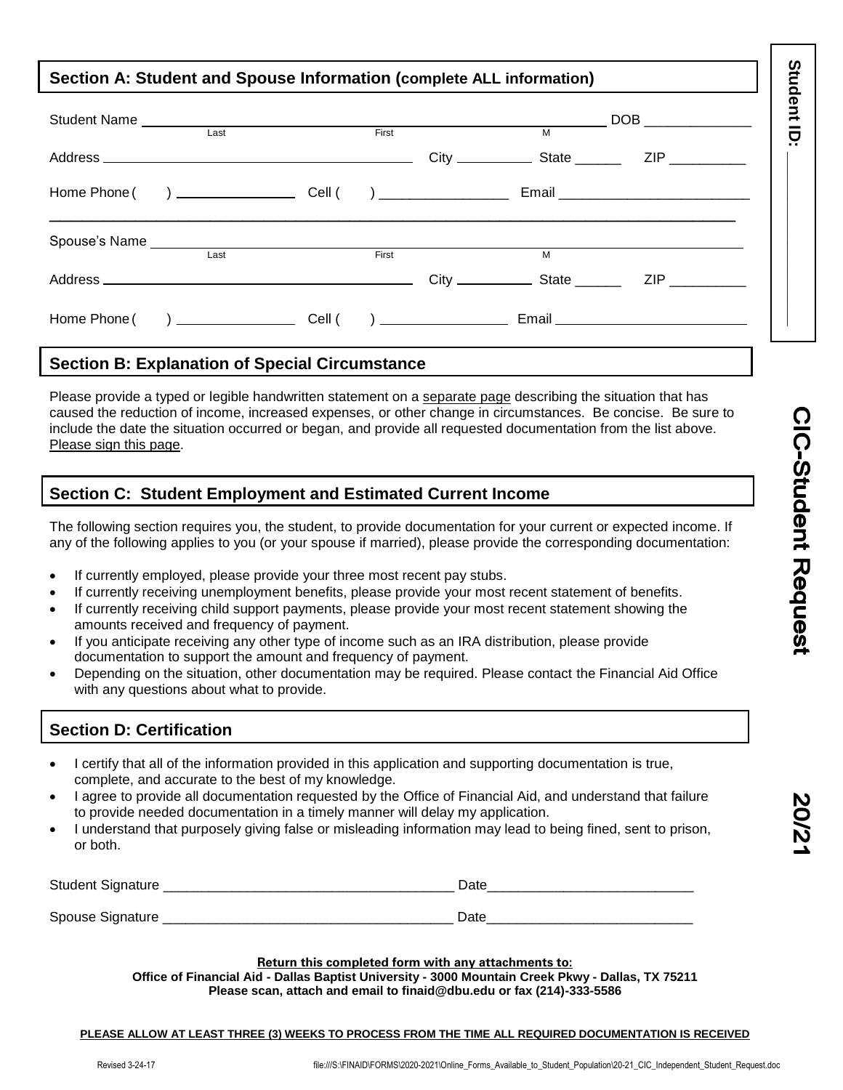# **Section A: Student and Spouse Information (complete ALL information)**

|              | Last |  | First | M |                    |  |
|--------------|------|--|-------|---|--------------------|--|
|              |      |  |       |   |                    |  |
|              |      |  |       |   |                    |  |
|              |      |  | First | M |                    |  |
|              | Last |  |       |   |                    |  |
|              |      |  |       |   | ZIP <b>Service</b> |  |
| Home Phone ( |      |  |       |   |                    |  |

## **Section B: Explanation of Special Circumstance**

Please provide a typed or legible handwritten statement on a separate page describing the situation that has caused the reduction of income, increased expenses, or other change in circumstances. Be concise. Be sure to include the date the situation occurred or began, and provide all requested documentation from the list above. Please sign this page.

# **Section C: Student Employment and Estimated Current Income**

The following section requires you, the student, to provide documentation for your current or expected income. If any of the following applies to you (or your spouse if married), please provide the corresponding documentation:

- If currently employed, please provide your three most recent pay stubs.
- If currently receiving unemployment benefits, please provide your most recent statement of benefits.
- If currently receiving child support payments, please provide your most recent statement showing the amounts received and frequency of payment.
- If you anticipate receiving any other type of income such as an IRA distribution, please provide documentation to support the amount and frequency of payment.
- Depending on the situation, other documentation may be required. Please contact the Financial Aid Office with any questions about what to provide.

# **Section D: Certification**

- I certify that all of the information provided in this application and supporting documentation is true, complete, and accurate to the best of my knowledge.
- I agree to provide all documentation requested by the Office of Financial Aid, and understand that failure to provide needed documentation in a timely manner will delay my application.
- I understand that purposely giving false or misleading information may lead to being fined, sent to prison, or both.

| <b>Student Signature</b> | Date |
|--------------------------|------|
| Spouse Signature<br>◡    | Date |

**Return this completed form with any attachments to:**

**Office of Financial Aid - Dallas Baptist University - 3000 Mountain Creek Pkwy - Dallas, TX 75211 Please scan, attach and email to finaid@dbu.edu or fax (214)-333-5586**

#### **PLEASE ALLOW AT LEAST THREE (3) WEEKS TO PROCESS FROM THE TIME ALL REQUIRED DOCUMENTATION IS RECEIVED**

**Student ID: \_\_\_\_\_\_\_\_\_\_\_\_\_\_\_\_\_\_\_**

Student ID: